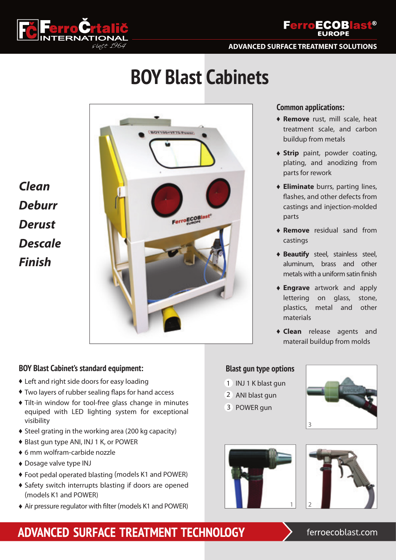



**ADVANCED SURFACE TREATMENT SOLUTIONS**

# **BOY Blast Cabinets**

*Clean Deburr Derust Descale Finish*



## **BOY Blast Cabinet's standard equipment:**

- Left and right side doors for easy loading
- $\bullet$  Two layers of rubber sealing flaps for hand access
- Tilt-in window for tool-free glass change in minutes equiped with LED lighting system for exceptional visibility
- Steel grating in the working area (200 kg capacity)
- ◆ Blast gun type ANI, INJ 1 K, or POWER
- 6 mm wolfram-carbide nozzle
- Dosage valve type INJ
- Foot pedal operated blasting (models K1 and POWER)
- Safety switch interrupts blasting if doors are opened (models K1 and POWER)
- Air pressure regulator with filter (models K1 and POWER)

## **Common applications:**

- **Remove** rust, mill scale, heat treatment scale, and carbon buildup from metals
- **Strip** paint, powder coating, plating, and anodizing from parts for rework
- **Eliminate** burrs, parting lines, flashes, and other defects from castings and injection-molded parts
- **Remove** residual sand from castings
- **Beautify** steel, stainless steel, aluminum, brass and other metals with a uniform satin finish
- **Engrave** artwork and apply lettering on glass, stone, plastics, metal and other materials
- **Clean** release agents and materail buildup from molds

## **Blast gun type options**

- 1 INJ 1 K blast gun
- 2 ANI blast gun
- 3 POWER gun







## ADVANCED SURFACE TREATMENT TECHNOLOGY

## ferroecoblast.com